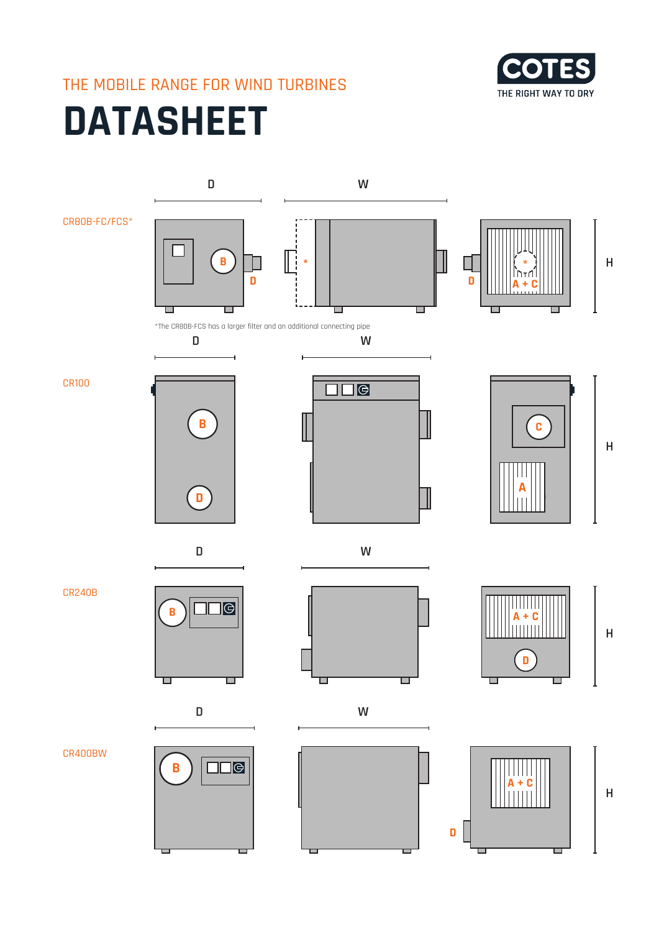## THE MOBILE RANGE FOR WIND TURBINES



# **DATASHEET**